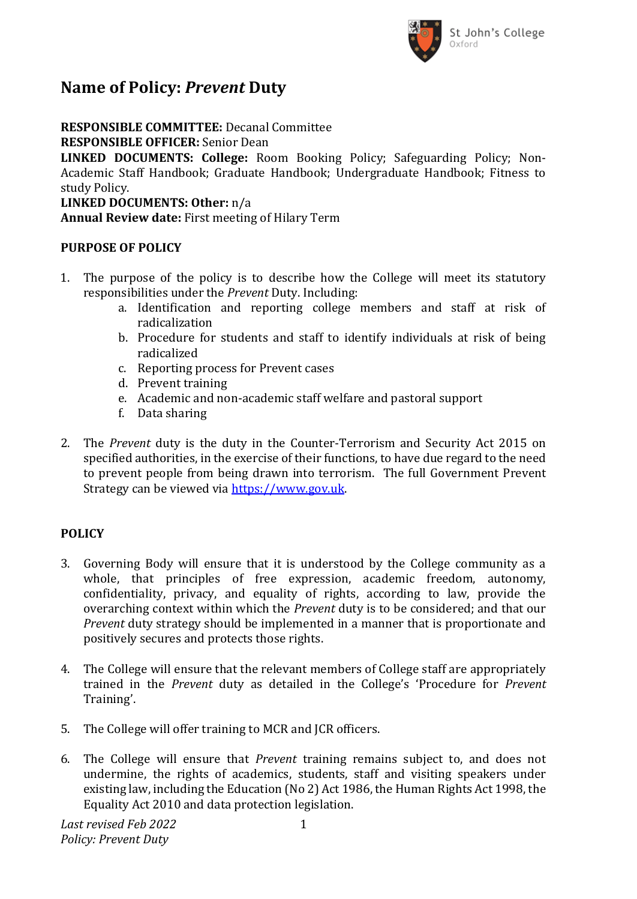

# **Name of Policy:** *Prevent* **Duty**

**RESPONSIBLE COMMITTEE:** Decanal Committee **RESPONSIBLE OFFICER:** Senior Dean

**LINKED DOCUMENTS: College:** Room Booking Policy; Safeguarding Policy; Non-Academic Staff Handbook; Graduate Handbook; Undergraduate Handbook; Fitness to study Policy.

**LINKED DOCUMENTS: Other:** n/a **Annual Review date:** First meeting of Hilary Term

# **PURPOSE OF POLICY**

- 1. The purpose of the policy is to describe how the College will meet its statutory responsibilities under the *Prevent* Duty. Including:
	- a. Identification and reporting college members and staff at risk of radicalization
	- b. Procedure for students and staff to identify individuals at risk of being radicalized
	- c. Reporting process for Prevent cases
	- d. Prevent training
	- e. Academic and non-academic staff welfare and pastoral support
	- f. Data sharing
- 2. The *Prevent* duty is the duty in the Counter-Terrorism and Security Act 2015 on specified authorities, in the exercise of their functions, to have due regard to the need to prevent people from being drawn into terrorism. The full Government Prevent Strategy can be viewed via [https://www.gov.uk.](https://www.gov.uk/)

# **POLICY**

- 3. Governing Body will ensure that it is understood by the College community as a whole, that principles of free expression, academic freedom, autonomy, confidentiality, privacy, and equality of rights, according to law, provide the overarching context within which the *Prevent* duty is to be considered; and that our *Prevent* duty strategy should be implemented in a manner that is proportionate and positively secures and protects those rights.
- 4. The College will ensure that the relevant members of College staff are appropriately trained in the *Prevent* duty as detailed in the College's 'Procedure for *Prevent*  Training'.
- 5. The College will offer training to MCR and JCR officers.
- 6. The College will ensure that *Prevent* training remains subject to, and does not undermine, the rights of academics, students, staff and visiting speakers under existing law, including the Education (No 2) Act 1986, the Human Rights Act 1998, the Equality Act 2010 and data protection legislation.

*Last revised Feb 2022 Policy: Prevent Duty*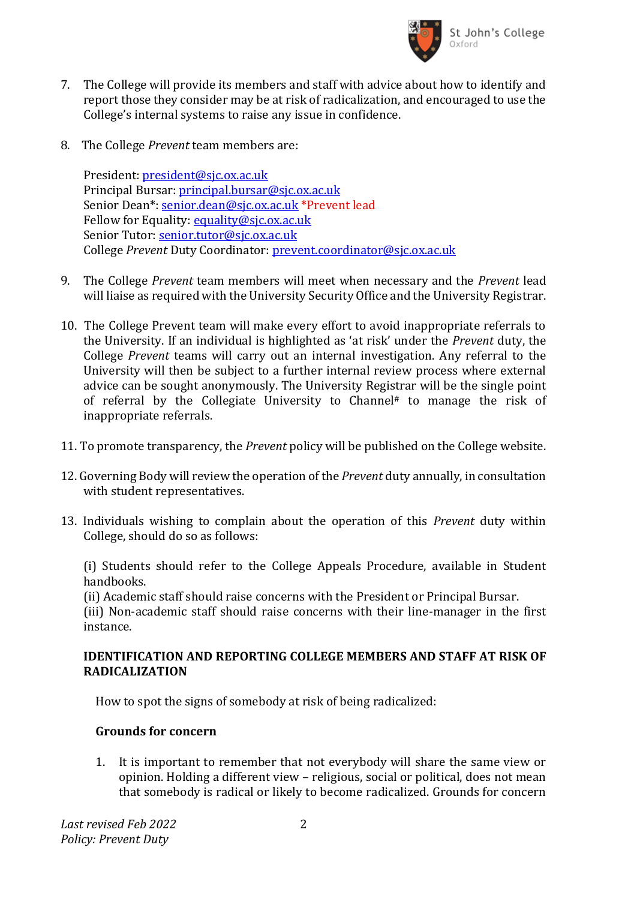

- 7. The College will provide its members and staff with advice about how to identify and report those they consider may be at risk of radicalization, and encouraged to use the College's internal systems to raise any issue in confidence.
- 8. The College *Prevent* team members are:

President: [president@sjc.ox.ac.uk](mailto:president@sjc.ox.ac.uk) Principal Bursar: [principal.bursar@sjc.ox.ac.uk](mailto:principal.bursar@sjc.ox.ac.uk) Senior Dean\*: [senior.dean@sjc.ox.ac.uk](mailto:senior.dean@sjc.ox.ac.uk) \*Prevent lead Fellow for Equality: [equality@sjc.ox.ac.uk](mailto:equality@sjc.ox.ac.uk) Senior Tutor[: senior.tutor@sjc.ox.ac.uk](mailto:senior.tutor@sjc.ox.ac.uk) College *Prevent* Duty Coordinator: [prevent.coordinator@sjc.ox.ac.uk](mailto:prevent.coordinator@sjc.ox.ac.uk)

- 9. The College *Prevent* team members will meet when necessary and the *Prevent* lead will liaise as required with the University Security Office and the University Registrar.
- 10. The College Prevent team will make every effort to avoid inappropriate referrals to the University. If an individual is highlighted as 'at risk' under the *Prevent* duty, the College *Prevent* teams will carry out an internal investigation. Any referral to the University will then be subject to a further internal review process where external advice can be sought anonymously. The University Registrar will be the single point of referral by the Collegiate University to Channel# to manage the risk of inappropriate referrals.
- 11. To promote transparency, the *Prevent* policy will be published on the College website.
- 12. Governing Body will review the operation of the *Prevent* duty annually, in consultation with student representatives.
- 13. Individuals wishing to complain about the operation of this *Prevent* duty within College, should do so as follows:

(i) Students should refer to the College Appeals Procedure, available in Student handbooks.

(ii) Academic staff should raise concerns with the President or Principal Bursar.

(iii) Non-academic staff should raise concerns with their line-manager in the first instance.

# **IDENTIFICATION AND REPORTING COLLEGE MEMBERS AND STAFF AT RISK OF RADICALIZATION**

How to spot the signs of somebody at risk of being radicalized:

# **Grounds for concern**

1. It is important to remember that not everybody will share the same view or opinion. Holding a different view – religious, social or political, does not mean that somebody is radical or likely to become radicalized. Grounds for concern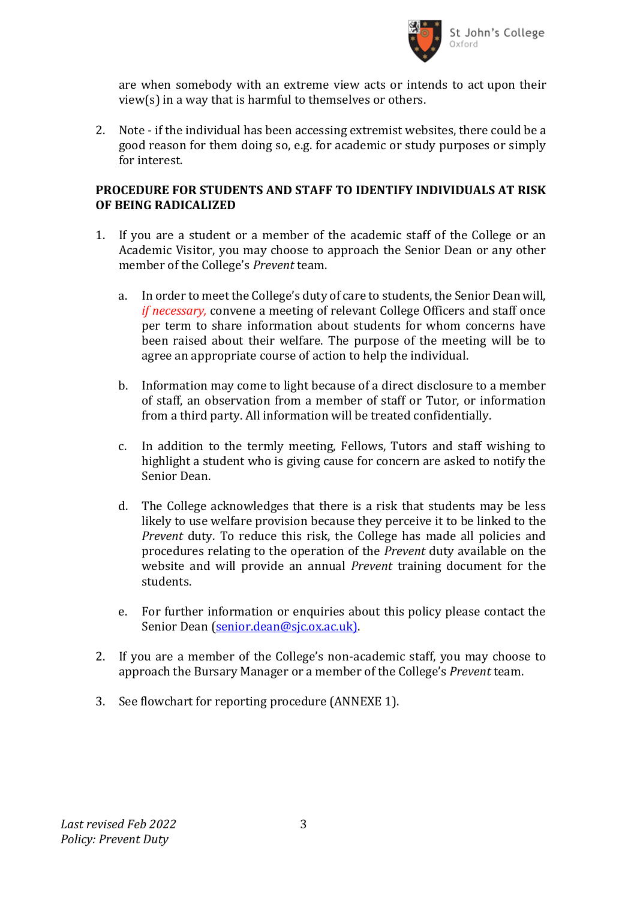

are when somebody with an extreme view acts or intends to act upon their view(s) in a way that is harmful to themselves or others.

2. Note - if the individual has been accessing extremist websites, there could be a good reason for them doing so, e.g. for academic or study purposes or simply for interest.

#### **PROCEDURE FOR STUDENTS AND STAFF TO IDENTIFY INDIVIDUALS AT RISK OF BEING RADICALIZED**

- 1. If you are a student or a member of the academic staff of the College or an Academic Visitor, you may choose to approach the Senior Dean or any other member of the College's *Prevent* team.
	- a. In order to meet the College's duty of care to students, the Senior Dean will, *if necessary,* convene a meeting of relevant College Officers and staff once per term to share information about students for whom concerns have been raised about their welfare. The purpose of the meeting will be to agree an appropriate course of action to help the individual.
	- b. Information may come to light because of a direct disclosure to a member of staff, an observation from a member of staff or Tutor, or information from a third party. All information will be treated confidentially.
	- c. In addition to the termly meeting, Fellows, Tutors and staff wishing to highlight a student who is giving cause for concern are asked to notify the Senior Dean.
	- d. The College acknowledges that there is a risk that students may be less likely to use welfare provision because they perceive it to be linked to the *Prevent* duty. To reduce this risk, the College has made all policies and procedures relating to the operation of the *Prevent* duty available on the website and will provide an annual *Prevent* training document for the students.
	- e. For further information or enquiries about this policy please contact the Senior Dean [\(senior.dean@sjc.ox.ac.uk\).](mailto:senior.dean@sjc.ox.ac.uk))
- 2. If you are a member of the College's non-academic staff, you may choose to approach the Bursary Manager or a member of the College's *Prevent* team.
- 3. See flowchart for reporting procedure (ANNEXE 1).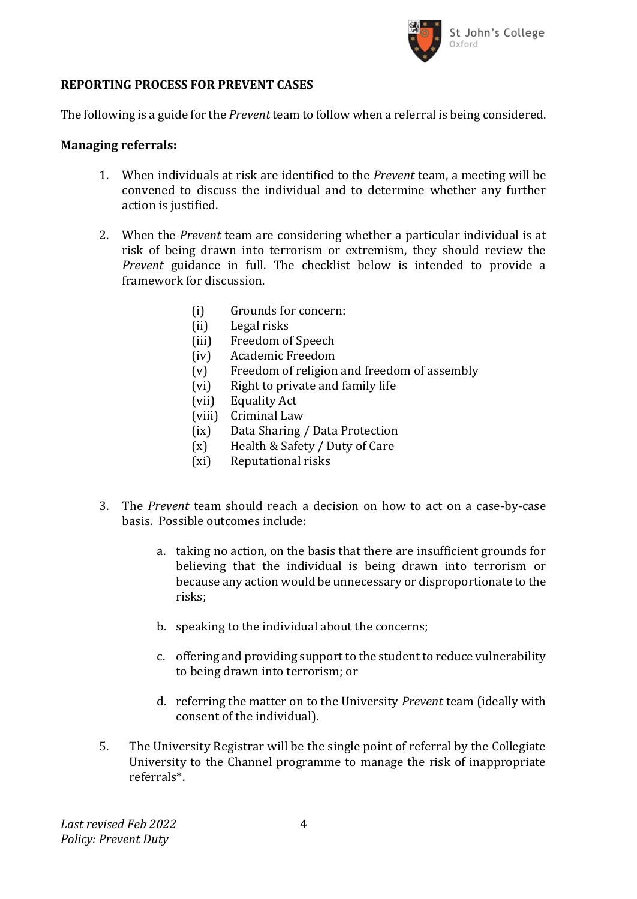

# **REPORTING PROCESS FOR PREVENT CASES**

The following is a guide for the *Prevent* team to follow when a referral is being considered.

#### **Managing referrals:**

- 1. When individuals at risk are identified to the *Prevent* team, a meeting will be convened to discuss the individual and to determine whether any further action is justified.
- 2. When the *Prevent* team are considering whether a particular individual is at risk of being drawn into terrorism or extremism, they should review the *Prevent* guidance in full. The checklist below is intended to provide a framework for discussion.
	- (i) Grounds for concern:
	- (ii) Legal risks
	- (iii) Freedom of Speech
	- (iv) Academic Freedom
	- (v) Freedom of religion and freedom of assembly
	- (vi) Right to private and family life
	- (vii) Equality Act
	- (viii) Criminal Law
	- (ix) Data Sharing / Data Protection
	- (x) Health & Safety / Duty of Care
	- (xi) Reputational risks
- 3. The *Prevent* team should reach a decision on how to act on a case-by-case basis. Possible outcomes include:
	- a. taking no action, on the basis that there are insufficient grounds for believing that the individual is being drawn into terrorism or because any action would be unnecessary or disproportionate to the risks;
	- b. speaking to the individual about the concerns;
	- c. offering and providing support to the student to reduce vulnerability to being drawn into terrorism; or
	- d. referring the matter on to the University *Prevent* team (ideally with consent of the individual).
- 5. The University Registrar will be the single point of referral by the Collegiate University to the Channel programme to manage the risk of inappropriate referrals\*.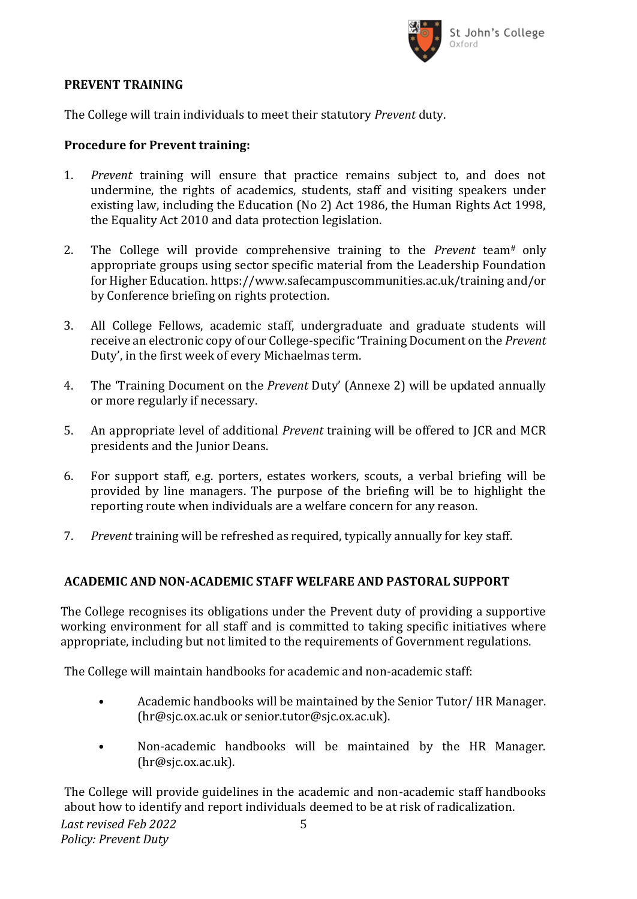

#### **PREVENT TRAINING**

The College will train individuals to meet their statutory *Prevent* duty.

# **Procedure for Prevent training:**

- 1. *Prevent* training will ensure that practice remains subject to, and does not undermine, the rights of academics, students, staff and visiting speakers under existing law, including the Education (No 2) Act 1986, the Human Rights Act 1998, the Equality Act 2010 and data protection legislation.
- 2. The College will provide comprehensive training to the *Prevent* team# only appropriate groups using sector specific material from the Leadership Foundation for Higher Education. https://www.safecampuscommunities.ac.uk/training and/or by Conference briefing on rights protection.
- 3. All College Fellows, academic staff, undergraduate and graduate students will receive an electronic copy of our College-specific 'Training Document on the *Prevent*  Duty', in the first week of every Michaelmas term.
- 4. The 'Training Document on the *Prevent* Duty' (Annexe 2) will be updated annually or more regularly if necessary.
- 5. An appropriate level of additional *Prevent* training will be offered to JCR and MCR presidents and the Junior Deans.
- 6. For support staff, e.g. porters, estates workers, scouts, a verbal briefing will be provided by line managers. The purpose of the briefing will be to highlight the reporting route when individuals are a welfare concern for any reason.
- 7. *Prevent* training will be refreshed as required, typically annually for key staff.

# **ACADEMIC AND NON-ACADEMIC STAFF WELFARE AND PASTORAL SUPPORT**

The College recognises its obligations under the Prevent duty of providing a supportive working environment for all staff and is committed to taking specific initiatives where appropriate, including but not limited to the requirements of Government regulations.

The College will maintain handbooks for academic and non-academic staff:

- Academic handbooks will be maintained by the Senior Tutor/ HR Manager. (hr@sjc.ox.ac.uk or senior.tutor@sjc.ox.ac.uk).
- Non-academic handbooks will be maintained by the HR Manager. (hr@sjc.ox.ac.uk).

The College will provide guidelines in the academic and non-academic staff handbooks about how to identify and report individuals deemed to be at risk of radicalization.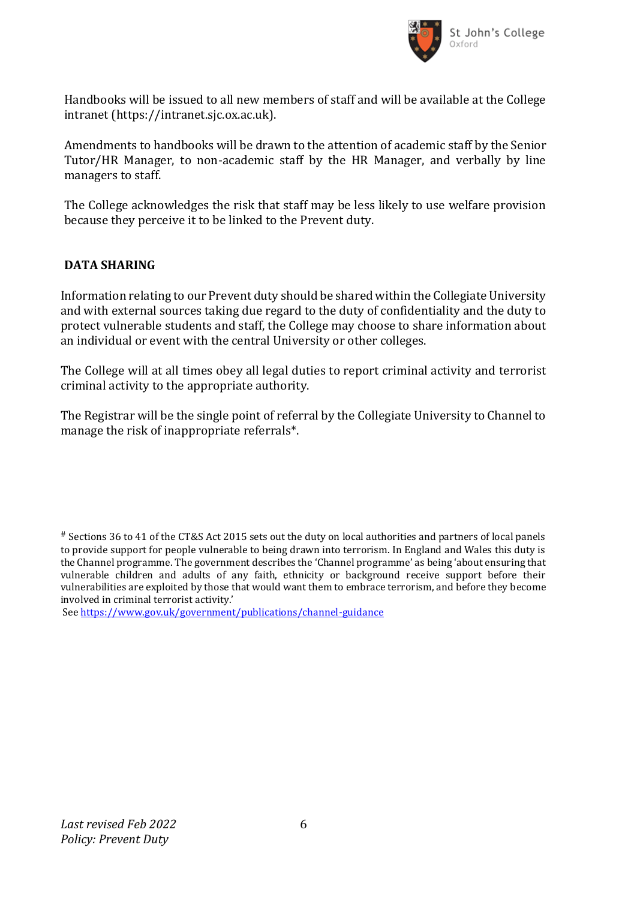

Handbooks will be issued to all new members of staff and will be available at the College intranet (https://intranet.sjc.ox.ac.uk).

Amendments to handbooks will be drawn to the attention of academic staff by the Senior Tutor/HR Manager, to non-academic staff by the HR Manager, and verbally by line managers to staff.

The College acknowledges the risk that staff may be less likely to use welfare provision because they perceive it to be linked to the Prevent duty.

# **DATA SHARING**

Information relating to our Prevent duty should be shared within the Collegiate University and with external sources taking due regard to the duty of confidentiality and the duty to protect vulnerable students and staff, the College may choose to share information about an individual or event with the central University or other colleges.

The College will at all times obey all legal duties to report criminal activity and terrorist criminal activity to the appropriate authority.

The Registrar will be the single point of referral by the Collegiate University to Channel to manage the risk of inappropriate referrals\*.

<sup>#</sup> Sections 36 to 41 of the CT&S Act 2015 sets out the duty on local authorities and partners of local panels to provide support for people vulnerable to being drawn into terrorism. In England and Wales this duty is the Channel programme. The government describes the 'Channel programme' as being 'about ensuring that vulnerable children and adults of any faith, ethnicity or background receive support before their vulnerabilities are exploited by those that would want them to embrace terrorism, and before they become involved in criminal terrorist activity.'

See<https://www.gov.uk/government/publications/channel-guidance>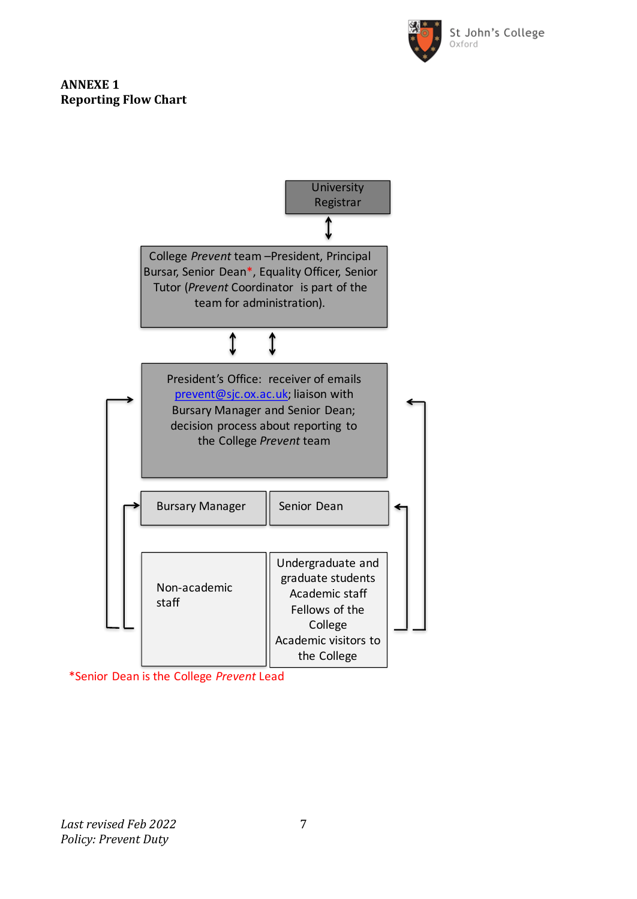

# **ANNEXE 1 Reporting Flow Chart**



\*Senior Dean is the College *Prevent* Lead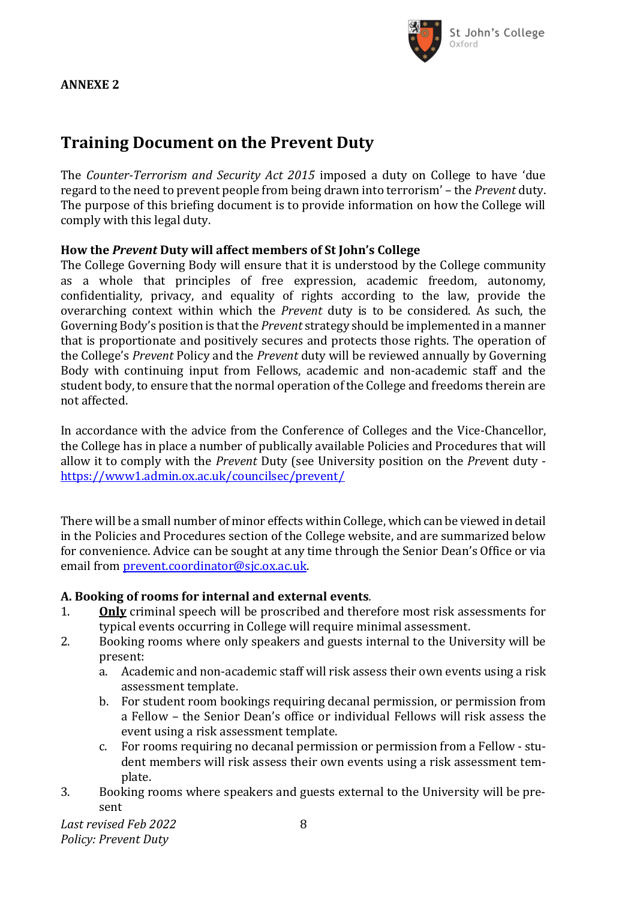

#### **ANNEXE 2**

# **Training Document on the Prevent Duty**

The *Counter-Terrorism and Security Act 2015* imposed a duty on College to have 'due regard to the need to prevent people from being drawn into terrorism' – the *Prevent* duty. The purpose of this briefing document is to provide information on how the College will comply with this legal duty.

# **How the** *Prevent* **Duty will affect members of St John's College**

The College Governing Body will ensure that it is understood by the College community as a whole that principles of free expression, academic freedom, autonomy, confidentiality, privacy, and equality of rights according to the law, provide the overarching context within which the *Prevent* duty is to be considered. As such, the Governing Body's position is that the *Prevent* strategy should be implemented in a manner that is proportionate and positively secures and protects those rights. The operation of the College's *Prevent* Policy and the *Prevent* duty will be reviewed annually by Governing Body with continuing input from Fellows, academic and non-academic staff and the student body, to ensure that the normal operation of the College and freedoms therein are not affected.

In accordance with the advice from the Conference of Colleges and the Vice-Chancellor, the College has in place a number of publically available Policies and Procedures that will allow it to comply with the *Prevent* Duty (see University position on the *Prev*ent duty <https://www1.admin.ox.ac.uk/councilsec/prevent/>

There will be a small number of minor effects within College, which can be viewed in detail in the Policies and Procedures section of the College website, and are summarized below for convenience. Advice can be sought at any time through the Senior Dean's Office or via email from [prevent.coordinator@sjc.ox.ac.uk.](mailto:prevent.coordinator@sjc.ox.ac.uk)

# **A. Booking of rooms for internal and external events***.*

- 1. **Only** criminal speech will be proscribed and therefore most risk assessments for typical events occurring in College will require minimal assessment.
- 2. Booking rooms where only speakers and guests internal to the University will be present:
	- a. Academic and non-academic staff will risk assess their own events using a risk assessment template.
	- b. For student room bookings requiring decanal permission, or permission from a Fellow – the Senior Dean's office or individual Fellows will risk assess the event using a risk assessment template.
	- c. For rooms requiring no decanal permission or permission from a Fellow student members will risk assess their own events using a risk assessment template.
- 3. Booking rooms where speakers and guests external to the University will be present

*Last revised Feb 2022 Policy: Prevent Duty*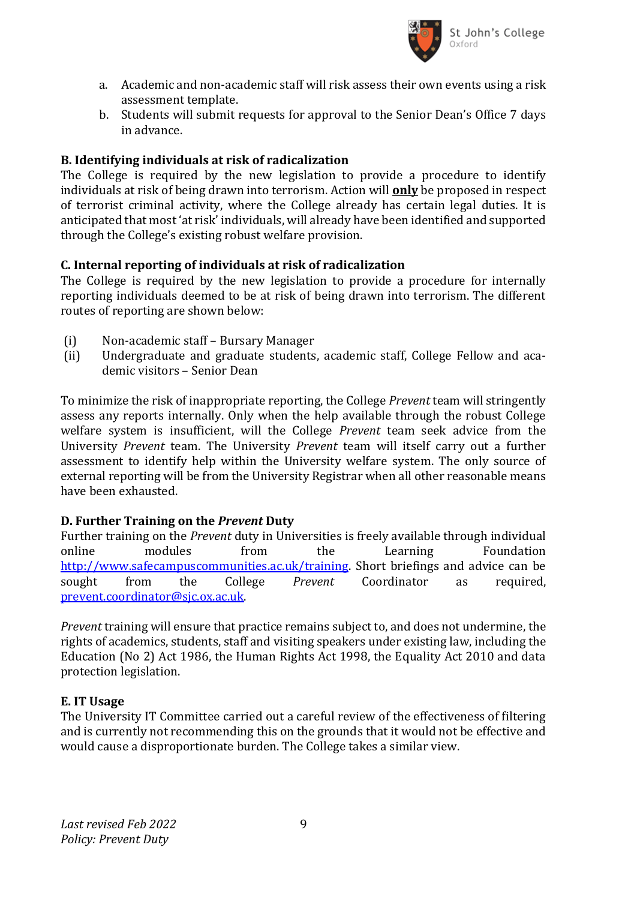

- a. Academic and non-academic staff will risk assess their own events using a risk assessment template.
- b. Students will submit requests for approval to the Senior Dean's Office 7 days in advance.

# **B. Identifying individuals at risk of radicalization**

The College is required by the new legislation to provide a procedure to identify individuals at risk of being drawn into terrorism. Action will **only** be proposed in respect of terrorist criminal activity, where the College already has certain legal duties. It is anticipated that most 'at risk' individuals, will already have been identified and supported through the College's existing robust welfare provision.

# **C. Internal reporting of individuals at risk of radicalization**

The College is required by the new legislation to provide a procedure for internally reporting individuals deemed to be at risk of being drawn into terrorism. The different routes of reporting are shown below:

- (i) Non-academic staff Bursary Manager
- (ii) Undergraduate and graduate students, academic staff, College Fellow and academic visitors – Senior Dean

To minimize the risk of inappropriate reporting, the College *Prevent* team will stringently assess any reports internally. Only when the help available through the robust College welfare system is insufficient, will the College *Prevent* team seek advice from the University *Prevent* team. The University *Prevent* team will itself carry out a further assessment to identify help within the University welfare system. The only source of external reporting will be from the University Registrar when all other reasonable means have been exhausted.

# **D. Further Training on the** *Prevent* **Duty**

Further training on the *Prevent* duty in Universities is freely available through individual online modules from the Learning Foundation [http://www.safecampuscommunities.ac.uk/training.](http://www.safecampuscommunities.ac.uk/training) Short briefings and advice can be sought from the College *Prevent* Coordinator as required, [prevent.coordinator@sjc.ox.ac.uk.](mailto:prevent.coordinator@sjc.ox.ac.uk)

*Prevent* training will ensure that practice remains subject to, and does not undermine, the rights of academics, students, staff and visiting speakers under existing law, including the Education (No 2) Act 1986, the Human Rights Act 1998, the Equality Act 2010 and data protection legislation.

# **E. IT Usage**

The University IT Committee carried out a careful review of the effectiveness of filtering and is currently not recommending this on the grounds that it would not be effective and would cause a disproportionate burden. The College takes a similar view.